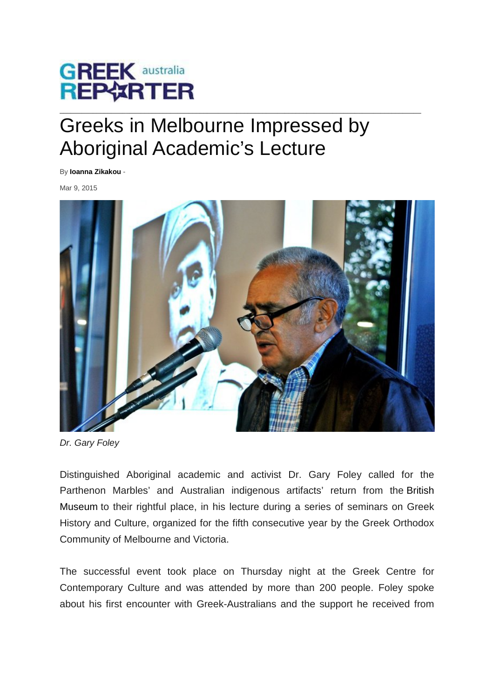

## $\_$  ,  $\_$  ,  $\_$  ,  $\_$  ,  $\_$  ,  $\_$  ,  $\_$  ,  $\_$  ,  $\_$  ,  $\_$  ,  $\_$  ,  $\_$  ,  $\_$  ,  $\_$  ,  $\_$  ,  $\_$  ,  $\_$  ,  $\_$  ,  $\_$  ,  $\_$  ,  $\_$  ,  $\_$  ,  $\_$  ,  $\_$  ,  $\_$  ,  $\_$  ,  $\_$  ,  $\_$  ,  $\_$  ,  $\_$  ,  $\_$  ,  $\_$  ,  $\_$  ,  $\_$  ,  $\_$  ,  $\_$  ,  $\_$  , Greeks in Melbourne Impressed by Aboriginal Academic's Lecture

By **[Ioanna Zikakou](http://au.greekreporter.com/author/zikakou/)** -

Mar 9, 2015



*Dr. Gary Foley*

Distinguished Aboriginal academic and activist Dr. Gary Foley called for the Parthenon Marbles' and Australian indigenous artifacts' return from the British Museum to their rightful place, in his lecture during a series of seminars on Greek History and Culture, organized for the fifth consecutive year by the Greek Orthodox Community of Melbourne and Victoria.

The successful event took place on Thursday night at the Greek Centre for Contemporary Culture and was attended by more than 200 people. Foley spoke about his first encounter with Greek-Australians and the support he received from